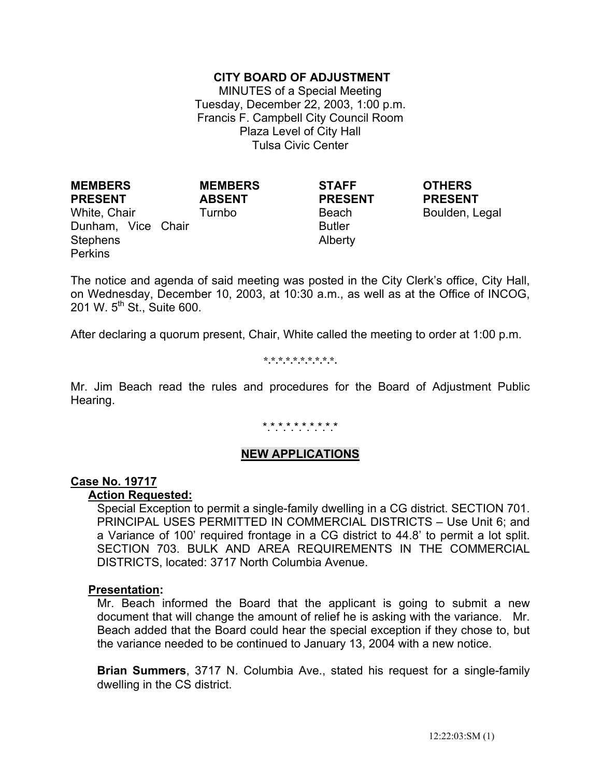# **CITY BOARD OF ADJUSTMENT**

MINUTES of a Special Meeting Tuesday, December 22, 2003, 1:00 p.m. Francis F. Campbell City Council Room Plaza Level of City Hall Tulsa Civic Center

**MEMBERS PRESENT** White, Chair **Turnbo** Beach Boulden, Legal Dunham, Vice Chair Stephens **Perkins** 

**MEMBERS ABSENT**

**STAFF PRESENT** Butler

Alberty

**OTHERS PRESENT**

The notice and agenda of said meeting was posted in the City Clerk's office, City Hall, on Wednesday, December 10, 2003, at 10:30 a.m., as well as at the Office of INCOG, 201 W. 5<sup>th</sup> St., Suite 600.

After declaring a quorum present, Chair, White called the meeting to order at 1:00 p.m.

**\*.\*.\*.\*.\*.\*.\*.\*.\*.\*.** 

Mr. Jim Beach read the rules and procedures for the Board of Adjustment Public Hearing.

# \*.\*.\*.\*.\*.\*.\*.\*.\*.\*

# **NEW APPLICATIONS**

### **Case No. 19717**

#### **Action Requested:**

 Special Exception to permit a single-family dwelling in a CG district. SECTION 701. PRINCIPAL USES PERMITTED IN COMMERCIAL DISTRICTS – Use Unit 6; and a Variance of 100' required frontage in a CG district to 44.8' to permit a lot split. SECTION 703. BULK AND AREA REQUIREMENTS IN THE COMMERCIAL DISTRICTS, located: 3717 North Columbia Avenue.

### **Presentation:**

 Mr. Beach informed the Board that the applicant is going to submit a new document that will change the amount of relief he is asking with the variance. Mr. Beach added that the Board could hear the special exception if they chose to, but the variance needed to be continued to January 13, 2004 with a new notice.

 **Brian Summers**, 3717 N. Columbia Ave., stated his request for a single-family dwelling in the CS district.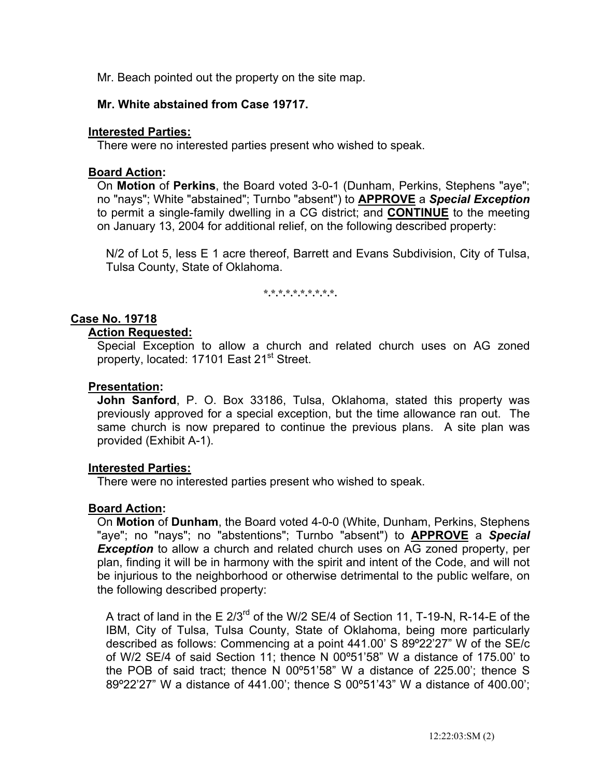Mr. Beach pointed out the property on the site map.

# **Mr. White abstained from Case 19717.**

# **Interested Parties:**

There were no interested parties present who wished to speak.

# **Board Action:**

On **Motion** of **Perkins**, the Board voted 3-0-1 (Dunham, Perkins, Stephens "aye"; no "nays"; White "abstained"; Turnbo "absent") to **APPROVE** a *Special Exception* to permit a single-family dwelling in a CG district; and **CONTINUE** to the meeting on January 13, 2004 for additional relief, on the following described property:

 N/2 of Lot 5, less E 1 acre thereof, Barrett and Evans Subdivision, City of Tulsa, Tulsa County, State of Oklahoma.

**\*.\*.\*.\*.\*.\*.\*.\*.\*.\*.** 

# **Case No. 19718**

### **Action Requested:**

 Special Exception to allow a church and related church uses on AG zoned property, located: 17101 East 21<sup>st</sup> Street.

## **Presentation:**

 **John Sanford**, P. O. Box 33186, Tulsa, Oklahoma, stated this property was previously approved for a special exception, but the time allowance ran out. The same church is now prepared to continue the previous plans. A site plan was provided (Exhibit A-1).

### **Interested Parties:**

There were no interested parties present who wished to speak.

# **Board Action:**

 On **Motion** of **Dunham**, the Board voted 4-0-0 (White, Dunham, Perkins, Stephens "aye"; no "nays"; no "abstentions"; Turnbo "absent") to **APPROVE** a *Special*  **Exception** to allow a church and related church uses on AG zoned property, per plan, finding it will be in harmony with the spirit and intent of the Code, and will not be injurious to the neighborhood or otherwise detrimental to the public welfare, on the following described property:

A tract of land in the E 2/3<sup>rd</sup> of the W/2 SE/4 of Section 11, T-19-N, R-14-E of the IBM, City of Tulsa, Tulsa County, State of Oklahoma, being more particularly described as follows: Commencing at a point 441.00' S 89º22'27" W of the SE/c of W/2 SE/4 of said Section 11; thence N 00º51'58" W a distance of 175.00' to the POB of said tract; thence N 00º51'58" W a distance of 225.00'; thence S 89º22'27" W a distance of 441.00'; thence S 00º51'43" W a distance of 400.00';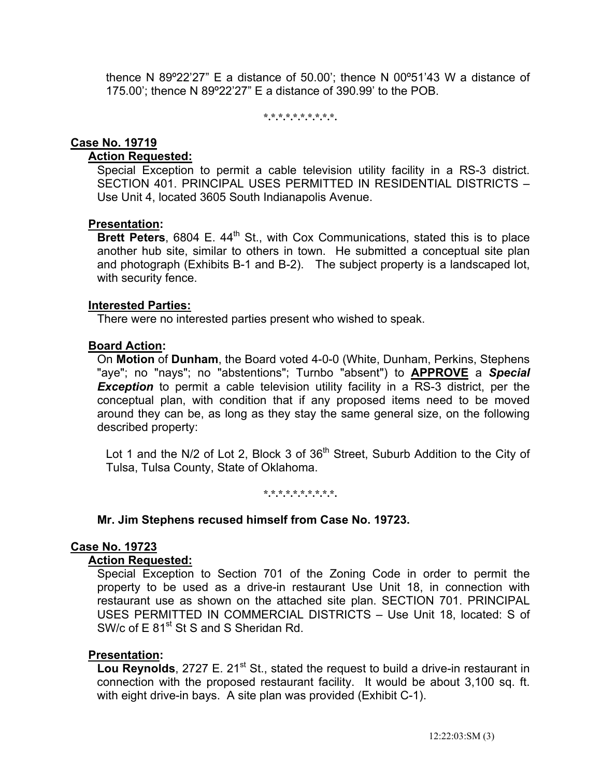thence N 89º22'27" E a distance of 50.00'; thence N 00º51'43 W a distance of 175.00'; thence N 89º22'27" E a distance of 390.99' to the POB.

**\*.\*.\*.\*.\*.\*.\*.\*.\*.\*.** 

### **Case No. 19719**

# **Action Requested:**

 Special Exception to permit a cable television utility facility in a RS-3 district. SECTION 401. PRINCIPAL USES PERMITTED IN RESIDENTIAL DISTRICTS – Use Unit 4, located 3605 South Indianapolis Avenue.

### **Presentation:**

**Brett Peters**, 6804 E. 44<sup>th</sup> St., with Cox Communications, stated this is to place another hub site, similar to others in town. He submitted a conceptual site plan and photograph (Exhibits B-1 and B-2). The subject property is a landscaped lot, with security fence.

#### **Interested Parties:**

There were no interested parties present who wished to speak.

#### **Board Action:**

 On **Motion** of **Dunham**, the Board voted 4-0-0 (White, Dunham, Perkins, Stephens "aye"; no "nays"; no "abstentions"; Turnbo "absent") to **APPROVE** a *Special*  **Exception** to permit a cable television utility facility in a RS-3 district, per the conceptual plan, with condition that if any proposed items need to be moved around they can be, as long as they stay the same general size, on the following described property:

Lot 1 and the N/2 of Lot 2, Block 3 of  $36<sup>th</sup>$  Street, Suburb Addition to the City of Tulsa, Tulsa County, State of Oklahoma.

**\*.\*.\*.\*.\*.\*.\*.\*.\*.\*.** 

#### **Mr. Jim Stephens recused himself from Case No. 19723.**

### **Case No. 19723**

#### **Action Requested:**

 Special Exception to Section 701 of the Zoning Code in order to permit the property to be used as a drive-in restaurant Use Unit 18, in connection with restaurant use as shown on the attached site plan. SECTION 701. PRINCIPAL USES PERMITTED IN COMMERCIAL DISTRICTS – Use Unit 18, located: S of SW/c of E 81<sup>st</sup> St S and S Sheridan Rd.

### **Presentation:**

**Lou Reynolds**, 2727 E. 21<sup>st</sup> St., stated the request to build a drive-in restaurant in connection with the proposed restaurant facility. It would be about 3,100 sq. ft. with eight drive-in bays. A site plan was provided (Exhibit C-1).